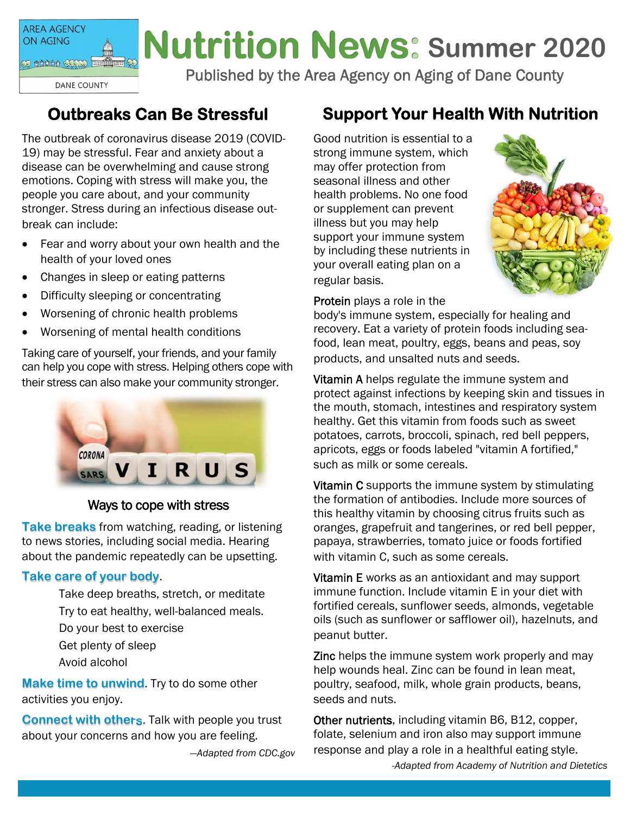**AREA AGENCY** ON AGING

op gaaaa qoop budduudq

**DANE COUNTY** 

# **Nutrition News: Summer 2020**

Published by the Area Agency on Aging of Dane County

# **Outbreaks Can Be Stressful**

The outbreak of coronavirus disease 2019 (COVID-19) may be stressful. Fear and anxiety about a disease can be overwhelming and cause strong emotions. Coping with stress will make you, the people you care about, and your community stronger. Stress during an infectious disease outbreak can include:

- Fear and worry about your own health and the health of your loved ones
- Changes in sleep or eating patterns
- Difficulty sleeping or concentrating
- Worsening of chronic health problems
- Worsening of mental health conditions

Taking care of yourself, your friends, and your family can help you cope with stress. Helping others cope with their stress can also make your community stronger.



#### Ways to cope with stress

**Take breaks** from watching, reading, or listening to news stories, including social media. Hearing about the pandemic repeatedly can be upsetting.

#### **Take care of your body**.

 Take deep breaths, stretch, or meditate Try to eat healthy, well-balanced meals. Do your best to exercise Get plenty of sleep Avoid alcohol

**Make time to unwind**. Try to do some other activities you enjoy.

**Connect with others**. Talk with people you trust about your concerns and how you are feeling.

*—Adapted from CDC.gov* 

# **Support Your Health With Nutrition**

Good nutrition is essential to a strong immune system, which may offer protection from seasonal illness and other health problems. No one food or supplement can prevent illness but you may help support your immune system by including these nutrients in your overall eating plan on a regular basis.



Protein plays a role in the

body's immune system, especially for healing and recovery. Eat a variety of protein foods including seafood, lean meat, poultry, eggs, beans and peas, soy products, and unsalted nuts and seeds.

Vitamin A helps regulate the immune system and protect against infections by keeping skin and tissues in the mouth, stomach, intestines and respiratory system healthy. Get this vitamin from foods such as sweet potatoes, carrots, broccoli, spinach, red bell peppers, apricots, eggs or foods labeled "vitamin A fortified," such as milk or some cereals.

Vitamin C supports the immune system by stimulating the formation of antibodies. Include more sources of this healthy vitamin by choosing citrus fruits such as oranges, grapefruit and tangerines, or red bell pepper, papaya, strawberries, tomato juice or foods fortified with vitamin C, such as some cereals.

Vitamin E works as an antioxidant and may support immune function. Include vitamin E in your diet with fortified cereals, sunflower seeds, almonds, vegetable oils (such as sunflower or safflower oil), hazelnuts, and peanut butter.

Zinc helps the immune system work properly and may help wounds heal. Zinc can be found in lean meat, poultry, seafood, milk, whole grain products, beans, seeds and nuts.

Other nutrients, including vitamin B6, B12, copper, folate, selenium and iron also may support immune response and play a role in a healthful eating style. *-Adapted from Academy of Nutrition and Dietetics*